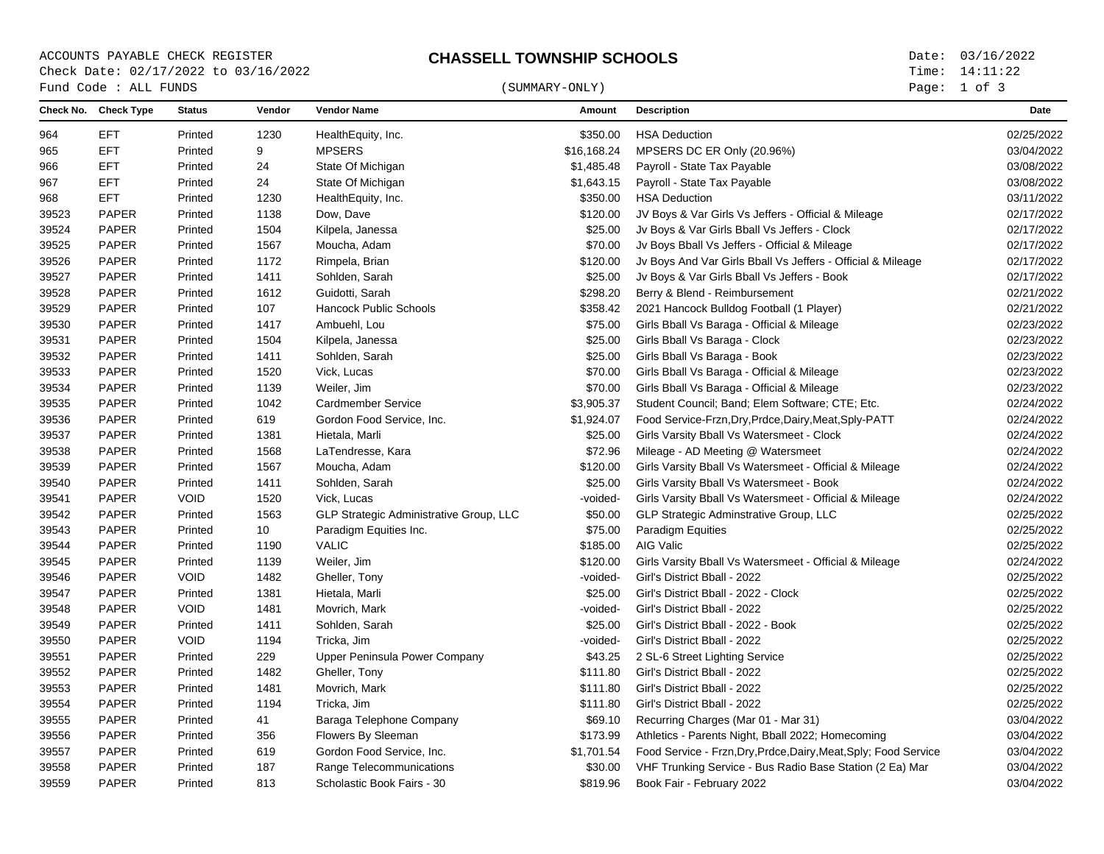ACCOUNTS PAYABLE CHECK REGISTER **CHASSELL TOWNSHIP SCHOOLS** Date: 03/16/2022 Check Date: 02/17/2022 to 03/16/2022

### $\begin{array}{cccc}\n\text{Fund Code}: \text{ALL FUNDS}\n\end{array} \tag{SUMMARY-ONLY}$

Page: 1 of 3

|       | Check No. Check Type | <b>Status</b> | Vendor | <b>Vendor Name</b>                             | Amount      | <b>Description</b>                                               | Date       |
|-------|----------------------|---------------|--------|------------------------------------------------|-------------|------------------------------------------------------------------|------------|
| 964   | <b>EFT</b>           | Printed       | 1230   | HealthEquity, Inc.                             | \$350.00    | <b>HSA Deduction</b>                                             | 02/25/2022 |
| 965   | <b>EFT</b>           | Printed       | 9      | <b>MPSERS</b>                                  | \$16,168.24 | MPSERS DC ER Only (20.96%)                                       | 03/04/2022 |
| 966   | <b>EFT</b>           | Printed       | 24     | State Of Michigan                              | \$1,485.48  | Payroll - State Tax Payable                                      | 03/08/2022 |
| 967   | <b>EFT</b>           | Printed       | 24     | State Of Michigan                              | \$1,643.15  | Payroll - State Tax Payable                                      | 03/08/2022 |
| 968   | <b>EFT</b>           | Printed       | 1230   | HealthEquity, Inc.                             | \$350.00    | <b>HSA Deduction</b>                                             | 03/11/2022 |
| 39523 | <b>PAPER</b>         | Printed       | 1138   | Dow, Dave                                      | \$120.00    | JV Boys & Var Girls Vs Jeffers - Official & Mileage              | 02/17/2022 |
| 39524 | <b>PAPER</b>         | Printed       | 1504   | Kilpela, Janessa                               | \$25.00     | Jv Boys & Var Girls Bball Vs Jeffers - Clock                     | 02/17/2022 |
| 39525 | <b>PAPER</b>         | Printed       | 1567   | Moucha, Adam                                   | \$70.00     | Jv Boys Bball Vs Jeffers - Official & Mileage                    | 02/17/2022 |
| 39526 | <b>PAPER</b>         | Printed       | 1172   | Rimpela, Brian                                 | \$120.00    | Jv Boys And Var Girls Bball Vs Jeffers - Official & Mileage      | 02/17/2022 |
| 39527 | <b>PAPER</b>         | Printed       | 1411   | Sohlden, Sarah                                 | \$25.00     | Jv Boys & Var Girls Bball Vs Jeffers - Book                      | 02/17/2022 |
| 39528 | <b>PAPER</b>         | Printed       | 1612   | Guidotti, Sarah                                | \$298.20    | Berry & Blend - Reimbursement                                    | 02/21/2022 |
| 39529 | <b>PAPER</b>         | Printed       | 107    | <b>Hancock Public Schools</b>                  | \$358.42    | 2021 Hancock Bulldog Football (1 Player)                         | 02/21/2022 |
| 39530 | <b>PAPER</b>         | Printed       | 1417   | Ambuehl, Lou                                   | \$75.00     | Girls Bball Vs Baraga - Official & Mileage                       | 02/23/2022 |
| 39531 | <b>PAPER</b>         | Printed       | 1504   | Kilpela, Janessa                               | \$25.00     | Girls Bball Vs Baraga - Clock                                    | 02/23/2022 |
| 39532 | <b>PAPER</b>         | Printed       | 1411   | Sohlden, Sarah                                 | \$25.00     | Girls Bball Vs Baraga - Book                                     | 02/23/2022 |
| 39533 | <b>PAPER</b>         | Printed       | 1520   | Vick, Lucas                                    | \$70.00     | Girls Bball Vs Baraga - Official & Mileage                       | 02/23/2022 |
| 39534 | <b>PAPER</b>         | Printed       | 1139   | Weiler, Jim                                    | \$70.00     | Girls Bball Vs Baraga - Official & Mileage                       | 02/23/2022 |
| 39535 | <b>PAPER</b>         | Printed       | 1042   | <b>Cardmember Service</b>                      | \$3,905.37  | Student Council; Band; Elem Software; CTE; Etc.                  | 02/24/2022 |
| 39536 | <b>PAPER</b>         | Printed       | 619    | Gordon Food Service, Inc.                      | \$1,924.07  | Food Service-Frzn, Dry, Prdce, Dairy, Meat, Sply-PATT            | 02/24/2022 |
| 39537 | <b>PAPER</b>         | Printed       | 1381   | Hietala, Marli                                 | \$25.00     | Girls Varsity Bball Vs Watersmeet - Clock                        | 02/24/2022 |
| 39538 | <b>PAPER</b>         | Printed       | 1568   | LaTendresse, Kara                              | \$72.96     | Mileage - AD Meeting @ Watersmeet                                | 02/24/2022 |
| 39539 | <b>PAPER</b>         | Printed       | 1567   | Moucha, Adam                                   | \$120.00    | Girls Varsity Bball Vs Watersmeet - Official & Mileage           | 02/24/2022 |
| 39540 | <b>PAPER</b>         | Printed       | 1411   | Sohlden, Sarah                                 | \$25.00     | Girls Varsity Bball Vs Watersmeet - Book                         | 02/24/2022 |
| 39541 | <b>PAPER</b>         | <b>VOID</b>   | 1520   | Vick, Lucas                                    | -voided-    | Girls Varsity Bball Vs Watersmeet - Official & Mileage           | 02/24/2022 |
| 39542 | <b>PAPER</b>         | Printed       | 1563   | <b>GLP Strategic Administrative Group, LLC</b> | \$50.00     | GLP Strategic Adminstrative Group, LLC                           | 02/25/2022 |
| 39543 | <b>PAPER</b>         | Printed       | 10     | Paradigm Equities Inc.                         | \$75.00     | Paradigm Equities                                                | 02/25/2022 |
| 39544 | <b>PAPER</b>         | Printed       | 1190   | <b>VALIC</b>                                   | \$185.00    | AIG Valic                                                        | 02/25/2022 |
| 39545 | PAPER                | Printed       | 1139   | Weiler, Jim                                    | \$120.00    | Girls Varsity Bball Vs Watersmeet - Official & Mileage           | 02/24/2022 |
| 39546 | <b>PAPER</b>         | <b>VOID</b>   | 1482   | Gheller, Tony                                  | -voided-    | Girl's District Bball - 2022                                     | 02/25/2022 |
| 39547 | <b>PAPER</b>         | Printed       | 1381   | Hietala, Marli                                 | \$25.00     | Girl's District Bball - 2022 - Clock                             | 02/25/2022 |
| 39548 | <b>PAPER</b>         | <b>VOID</b>   | 1481   | Movrich, Mark                                  | -voided-    | Girl's District Bball - 2022                                     | 02/25/2022 |
| 39549 | <b>PAPER</b>         | Printed       | 1411   | Sohlden, Sarah                                 | \$25.00     | Girl's District Bball - 2022 - Book                              | 02/25/2022 |
| 39550 | <b>PAPER</b>         | <b>VOID</b>   | 1194   | Tricka, Jim                                    | -voided-    | Girl's District Bball - 2022                                     | 02/25/2022 |
| 39551 | <b>PAPER</b>         | Printed       | 229    | Upper Peninsula Power Company                  | \$43.25     | 2 SL-6 Street Lighting Service                                   | 02/25/2022 |
| 39552 | <b>PAPER</b>         | Printed       | 1482   | Gheller, Tony                                  | \$111.80    | Girl's District Bball - 2022                                     | 02/25/2022 |
| 39553 | <b>PAPER</b>         | Printed       | 1481   | Movrich, Mark                                  | \$111.80    | Girl's District Bball - 2022                                     | 02/25/2022 |
| 39554 | <b>PAPER</b>         | Printed       | 1194   | Tricka, Jim                                    | \$111.80    | Girl's District Bball - 2022                                     | 02/25/2022 |
| 39555 | <b>PAPER</b>         | Printed       | 41     | Baraga Telephone Company                       | \$69.10     | Recurring Charges (Mar 01 - Mar 31)                              | 03/04/2022 |
| 39556 | <b>PAPER</b>         | Printed       | 356    | Flowers By Sleeman                             | \$173.99    | Athletics - Parents Night, Bball 2022; Homecoming                | 03/04/2022 |
| 39557 | <b>PAPER</b>         | Printed       | 619    | Gordon Food Service, Inc.                      | \$1,701.54  | Food Service - Frzn, Dry, Prdce, Dairy, Meat, Sply; Food Service | 03/04/2022 |
| 39558 | <b>PAPER</b>         | Printed       | 187    | Range Telecommunications                       | \$30.00     | VHF Trunking Service - Bus Radio Base Station (2 Ea) Mar         | 03/04/2022 |
| 39559 | <b>PAPER</b>         | Printed       | 813    | Scholastic Book Fairs - 30                     | \$819.96    | Book Fair - February 2022                                        | 03/04/2022 |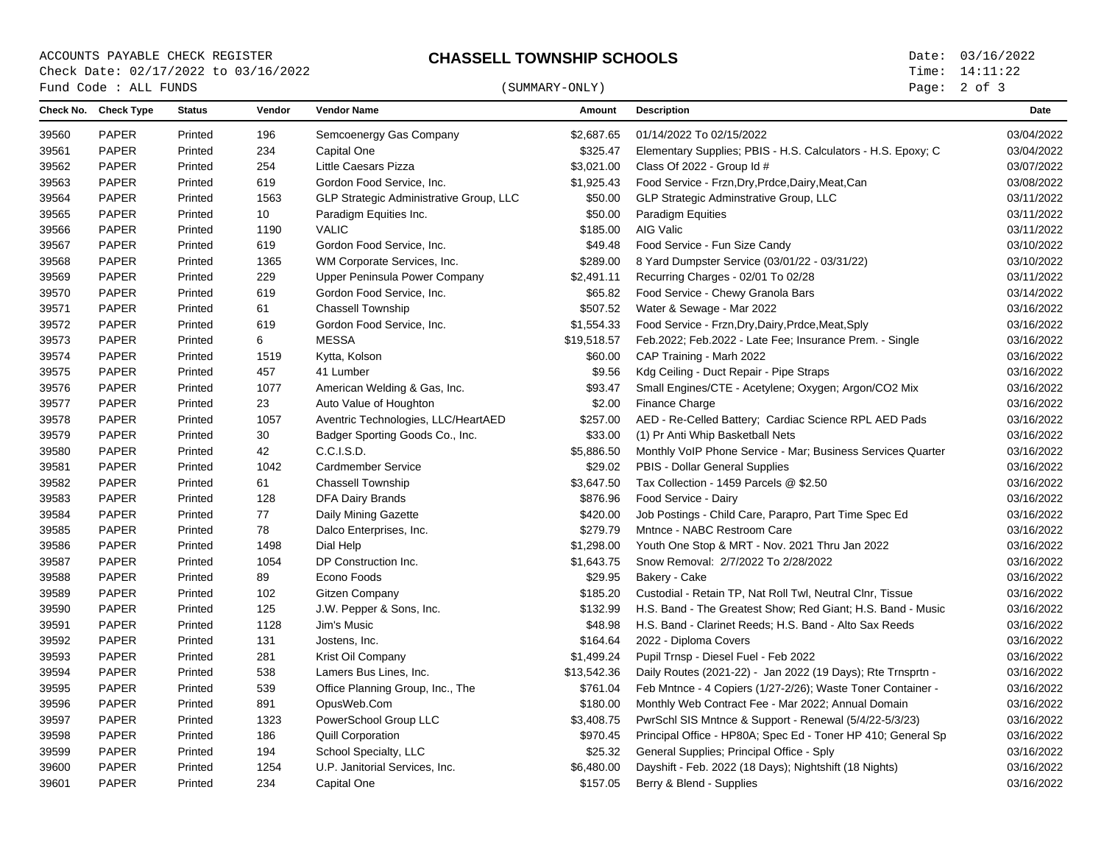# ACCOUNTS PAYABLE CHECK REGISTER **CHASSELL TOWNSHIP SCHOOLS** Date: 03/16/2022 Check Date: 02/17/2022 to 03/16/2022

## $\begin{array}{cccc}\n\text{Fund Code}: \text{ALL FUNDS}\n\end{array} \tag{SUMMARY-ONLY}$

Page: 2 of 3

|       | Check No. Check Type | <b>Status</b> | Vendor | <b>Vendor Name</b>                      | Amount      | <b>Description</b>                                           | <b>Date</b> |
|-------|----------------------|---------------|--------|-----------------------------------------|-------------|--------------------------------------------------------------|-------------|
| 39560 | PAPER                | Printed       | 196    | Semcoenergy Gas Company                 | \$2,687.65  | 01/14/2022 To 02/15/2022                                     | 03/04/2022  |
| 39561 | PAPER                | Printed       | 234    | Capital One                             | \$325.47    | Elementary Supplies; PBIS - H.S. Calculators - H.S. Epoxy; C | 03/04/2022  |
| 39562 | PAPER                | Printed       | 254    | Little Caesars Pizza                    | \$3,021.00  | Class Of 2022 - Group Id #                                   | 03/07/2022  |
| 39563 | PAPER                | Printed       | 619    | Gordon Food Service, Inc.               | \$1,925.43  | Food Service - Frzn, Dry, Prdce, Dairy, Meat, Can            | 03/08/2022  |
| 39564 | <b>PAPER</b>         | Printed       | 1563   | GLP Strategic Administrative Group, LLC | \$50.00     | GLP Strategic Adminstrative Group, LLC                       | 03/11/2022  |
| 39565 | <b>PAPER</b>         | Printed       | 10     | Paradigm Equities Inc.                  | \$50.00     | <b>Paradigm Equities</b>                                     | 03/11/2022  |
| 39566 | PAPER                | Printed       | 1190   | <b>VALIC</b>                            | \$185.00    | AIG Valic                                                    | 03/11/2022  |
| 39567 | PAPER                | Printed       | 619    | Gordon Food Service, Inc.               | \$49.48     | Food Service - Fun Size Candy                                | 03/10/2022  |
| 39568 | PAPER                | Printed       | 1365   | WM Corporate Services, Inc.             | \$289.00    | 8 Yard Dumpster Service (03/01/22 - 03/31/22)                | 03/10/2022  |
| 39569 | <b>PAPER</b>         | Printed       | 229    | Upper Peninsula Power Company           | \$2,491.11  | Recurring Charges - 02/01 To 02/28                           | 03/11/2022  |
| 39570 | <b>PAPER</b>         | Printed       | 619    | Gordon Food Service, Inc.               | \$65.82     | Food Service - Chewy Granola Bars                            | 03/14/2022  |
| 39571 | PAPER                | Printed       | 61     | <b>Chassell Township</b>                | \$507.52    | Water & Sewage - Mar 2022                                    | 03/16/2022  |
| 39572 | PAPER                | Printed       | 619    | Gordon Food Service, Inc.               | \$1,554.33  | Food Service - Frzn, Dry, Dairy, Prdce, Meat, Sply           | 03/16/2022  |
| 39573 | PAPER                | Printed       | 6      | <b>MESSA</b>                            | \$19,518.57 | Feb.2022; Feb.2022 - Late Fee; Insurance Prem. - Single      | 03/16/2022  |
| 39574 | PAPER                | Printed       | 1519   | Kytta, Kolson                           | \$60.00     | CAP Training - Marh 2022                                     | 03/16/2022  |
| 39575 | <b>PAPER</b>         | Printed       | 457    | 41 Lumber                               | \$9.56      | Kdg Ceiling - Duct Repair - Pipe Straps                      | 03/16/2022  |
| 39576 | PAPER                | Printed       | 1077   | American Welding & Gas, Inc.            | \$93.47     | Small Engines/CTE - Acetylene; Oxygen; Argon/CO2 Mix         | 03/16/2022  |
| 39577 | PAPER                | Printed       | 23     | Auto Value of Houghton                  | \$2.00      | <b>Finance Charge</b>                                        | 03/16/2022  |
| 39578 | <b>PAPER</b>         | Printed       | 1057   | Aventric Technologies, LLC/HeartAED     | \$257.00    | AED - Re-Celled Battery; Cardiac Science RPL AED Pads        | 03/16/2022  |
| 39579 | PAPER                | Printed       | 30     | Badger Sporting Goods Co., Inc.         | \$33.00     | (1) Pr Anti Whip Basketball Nets                             | 03/16/2022  |
| 39580 | PAPER                | Printed       | 42     | C.C.I.S.D.                              | \$5,886.50  | Monthly VoIP Phone Service - Mar; Business Services Quarter  | 03/16/2022  |
| 39581 | PAPER                | Printed       | 1042   | <b>Cardmember Service</b>               | \$29.02     | PBIS - Dollar General Supplies                               | 03/16/2022  |
| 39582 | PAPER                | Printed       | 61     | <b>Chassell Township</b>                | \$3,647.50  | Tax Collection - 1459 Parcels @ \$2.50                       | 03/16/2022  |
| 39583 | PAPER                | Printed       | 128    | <b>DFA Dairy Brands</b>                 | \$876.96    | Food Service - Dairy                                         | 03/16/2022  |
| 39584 | PAPER                | Printed       | 77     | Daily Mining Gazette                    | \$420.00    | Job Postings - Child Care, Parapro, Part Time Spec Ed        | 03/16/2022  |
| 39585 | <b>PAPER</b>         | Printed       | 78     | Dalco Enterprises, Inc.                 | \$279.79    | Mntnce - NABC Restroom Care                                  | 03/16/2022  |
| 39586 | PAPER                | Printed       | 1498   | Dial Help                               | \$1,298.00  | Youth One Stop & MRT - Nov. 2021 Thru Jan 2022               | 03/16/2022  |
| 39587 | PAPER                | Printed       | 1054   | DP Construction Inc.                    | \$1,643.75  | Snow Removal: 2/7/2022 To 2/28/2022                          | 03/16/2022  |
| 39588 | PAPER                | Printed       | 89     | Econo Foods                             | \$29.95     | Bakery - Cake                                                | 03/16/2022  |
| 39589 | PAPER                | Printed       | 102    | <b>Gitzen Company</b>                   | \$185.20    | Custodial - Retain TP, Nat Roll Twl, Neutral Clnr, Tissue    | 03/16/2022  |
| 39590 | <b>PAPER</b>         | Printed       | 125    | J.W. Pepper & Sons, Inc.                | \$132.99    | H.S. Band - The Greatest Show: Red Giant: H.S. Band - Music  | 03/16/2022  |
| 39591 | PAPER                | Printed       | 1128   | Jim's Music                             | \$48.98     | H.S. Band - Clarinet Reeds; H.S. Band - Alto Sax Reeds       | 03/16/2022  |
| 39592 | PAPER                | Printed       | 131    | Jostens, Inc.                           | \$164.64    | 2022 - Diploma Covers                                        | 03/16/2022  |
| 39593 | PAPER                | Printed       | 281    | Krist Oil Company                       | \$1,499.24  | Pupil Trnsp - Diesel Fuel - Feb 2022                         | 03/16/2022  |
| 39594 | <b>PAPER</b>         | Printed       | 538    | Lamers Bus Lines, Inc.                  | \$13,542.36 | Daily Routes (2021-22) - Jan 2022 (19 Days); Rte Trnsprtn -  | 03/16/2022  |
| 39595 | <b>PAPER</b>         | Printed       | 539    | Office Planning Group, Inc., The        | \$761.04    | Feb Mntnce - 4 Copiers (1/27-2/26); Waste Toner Container -  | 03/16/2022  |
| 39596 | PAPER                | Printed       | 891    | OpusWeb.Com                             | \$180.00    | Monthly Web Contract Fee - Mar 2022; Annual Domain           | 03/16/2022  |
| 39597 | PAPER                | Printed       | 1323   | PowerSchool Group LLC                   | \$3,408.75  | PwrSchl SIS Mntnce & Support - Renewal (5/4/22-5/3/23)       | 03/16/2022  |
| 39598 | PAPER                | Printed       | 186    | <b>Quill Corporation</b>                | \$970.45    | Principal Office - HP80A; Spec Ed - Toner HP 410; General Sp | 03/16/2022  |
| 39599 | PAPER                | Printed       | 194    | School Specialty, LLC                   | \$25.32     | General Supplies; Principal Office - Sply                    | 03/16/2022  |
| 39600 | PAPER                | Printed       | 1254   | U.P. Janitorial Services, Inc.          | \$6,480.00  | Dayshift - Feb. 2022 (18 Days); Nightshift (18 Nights)       | 03/16/2022  |
| 39601 | PAPER                | Printed       | 234    | Capital One                             | \$157.05    | Berry & Blend - Supplies                                     | 03/16/2022  |